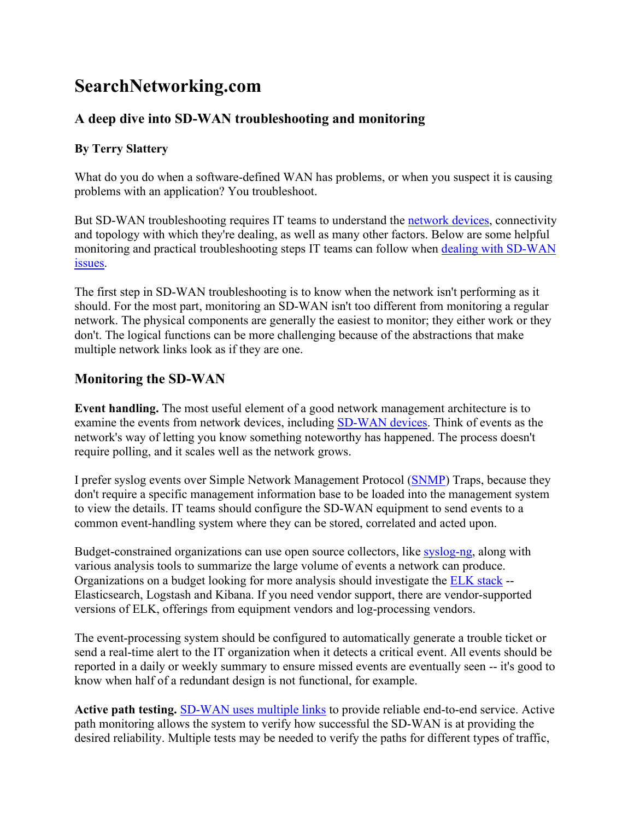# **SearchNetworking.com**

# **A deep dive into SD-WAN troubleshooting and monitoring**

#### **By Terry Slattery**

What do you do when a software-defined WAN has problems, or when you suspect it is causing problems with an application? You troubleshoot.

But SD-WAN troubleshooting requires IT teams to understand the [network devices,](https://searchnetworking.techtarget.com/tip/What-SD-WAN-devices-do-I-need-in-an-SD-WAN-deployment) connectivity and topology with which they're dealing, as well as many other factors. Below are some helpful monitoring and practical troubleshooting steps IT teams can follow when [dealing with SD-WAN](https://searchnetworking.techtarget.com/news/252451355/Be-prepared-for-SD-WAN-implementation-complexities)  [issues.](https://searchnetworking.techtarget.com/news/252451355/Be-prepared-for-SD-WAN-implementation-complexities)

The first step in SD-WAN troubleshooting is to know when the network isn't performing as it should. For the most part, monitoring an SD-WAN isn't too different from monitoring a regular network. The physical components are generally the easiest to monitor; they either work or they don't. The logical functions can be more challenging because of the abstractions that make multiple network links look as if they are one.

## **Monitoring the SD-WAN**

**Event handling.** The most useful element of a good network management architecture is to examine the events from network devices, including [SD-WAN devices.](https://searchnetworking.techtarget.com/news/252472184/Enterprises-choosing-SD-WAN-routing-over-edge-routers) Think of events as the network's way of letting you know something noteworthy has happened. The process doesn't require polling, and it scales well as the network grows.

I prefer syslog events over Simple Network Management Protocol [\(SNMP\)](https://searchnetworking.techtarget.com/definition/SNMP) Traps, because they don't require a specific management information base to be loaded into the management system to view the details. IT teams should configure the SD-WAN equipment to send events to a common event-handling system where they can be stored, correlated and acted upon.

Budget-constrained organizations can use open source collectors, like [syslog-ng,](https://www.netcraftsmen.com/syslog-summary-script/) along with various analysis tools to summarize the large volume of events a network can produce. Organizations on a budget looking for more analysis should investigate the **ELK** stack --Elasticsearch, Logstash and Kibana. If you need vendor support, there are vendor-supported versions of ELK, offerings from equipment vendors and log-processing vendors.

The event-processing system should be configured to automatically generate a trouble ticket or send a real-time alert to the IT organization when it detects a critical event. All events should be reported in a daily or weekly summary to ensure missed events are eventually seen -- it's good to know when half of a redundant design is not functional, for example.

**Active path testing.** [SD-WAN uses multiple links](https://searchnetworking.techtarget.com/tip/SD-WAN-benefits-the-changing-network-connectivity-landscape) to provide reliable end-to-end service. Active path monitoring allows the system to verify how successful the SD-WAN is at providing the desired reliability. Multiple tests may be needed to verify the paths for different types of traffic,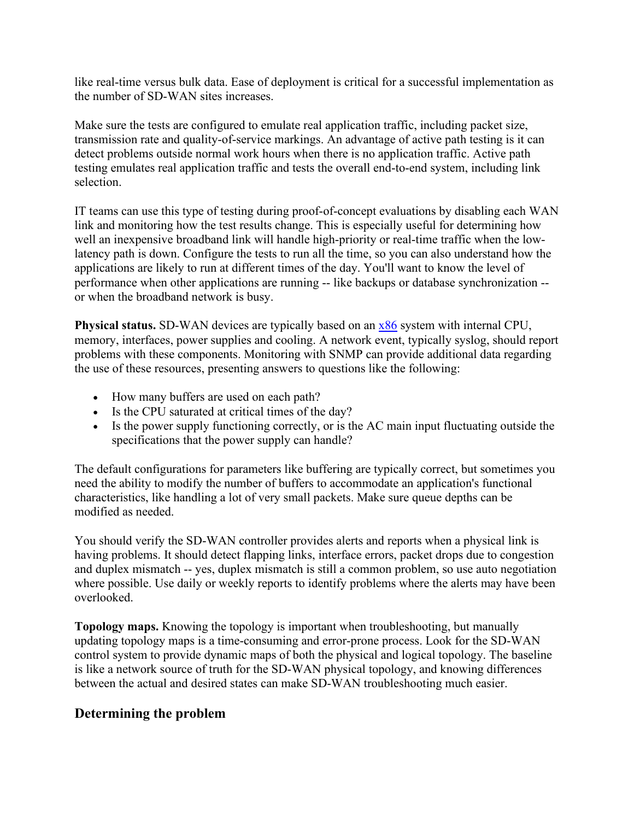like real-time versus bulk data. Ease of deployment is critical for a successful implementation as the number of SD-WAN sites increases.

Make sure the tests are configured to emulate real application traffic, including packet size, transmission rate and quality-of-service markings. An advantage of active path testing is it can detect problems outside normal work hours when there is no application traffic. Active path testing emulates real application traffic and tests the overall end-to-end system, including link selection.

IT teams can use this type of testing during proof-of-concept evaluations by disabling each WAN link and monitoring how the test results change. This is especially useful for determining how well an inexpensive broadband link will handle high-priority or real-time traffic when the lowlatency path is down. Configure the tests to run all the time, so you can also understand how the applications are likely to run at different times of the day. You'll want to know the level of performance when other applications are running -- like backups or database synchronization - or when the broadband network is busy.

**Physical status.** SD-WAN devices are typically based on an [x86](https://searchwindowsserver.techtarget.com/definition/x86) system with internal CPU, memory, interfaces, power supplies and cooling. A network event, typically syslog, should report problems with these components. Monitoring with SNMP can provide additional data regarding the use of these resources, presenting answers to questions like the following:

- How many buffers are used on each path?
- Is the CPU saturated at critical times of the day?
- Is the power supply functioning correctly, or is the AC main input fluctuating outside the specifications that the power supply can handle?

The default configurations for parameters like buffering are typically correct, but sometimes you need the ability to modify the number of buffers to accommodate an application's functional characteristics, like handling a lot of very small packets. Make sure queue depths can be modified as needed.

You should verify the SD-WAN controller provides alerts and reports when a physical link is having problems. It should detect flapping links, interface errors, packet drops due to congestion and duplex mismatch -- yes, duplex mismatch is still a common problem, so use auto negotiation where possible. Use daily or weekly reports to identify problems where the alerts may have been overlooked.

**Topology maps.** Knowing the topology is important when troubleshooting, but manually updating topology maps is a time-consuming and error-prone process. Look for the SD-WAN control system to provide dynamic maps of both the physical and logical topology. The baseline is like a network source of truth for the SD-WAN physical topology, and knowing differences between the actual and desired states can make SD-WAN troubleshooting much easier.

## **Determining the problem**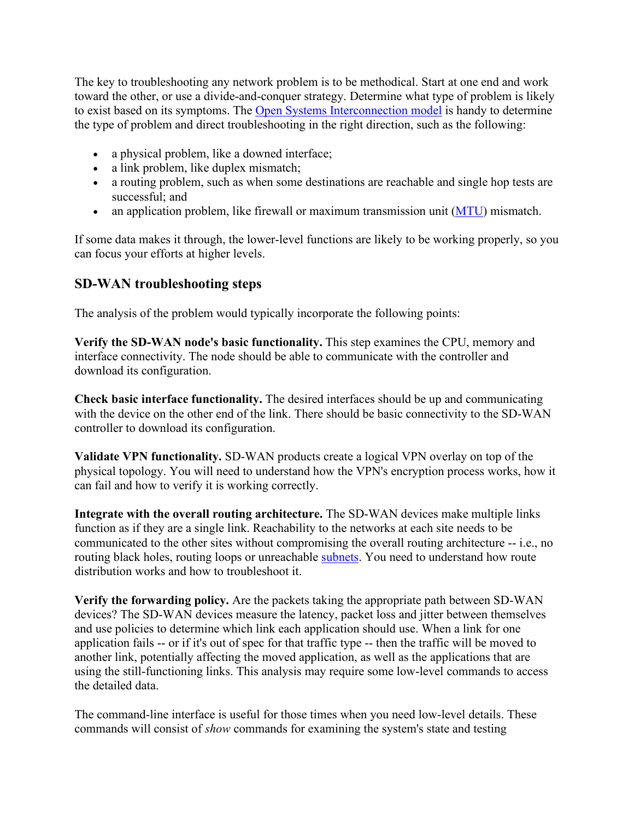The key to troubleshooting any network problem is to be methodical. Start at one end and work toward the other, or use a divide-and-conquer strategy. Determine what type of problem is likely to exist based on its symptoms. The [Open Systems Interconnection model](https://searchnetworking.techtarget.com/definition/OSI) is handy to determine the type of problem and direct troubleshooting in the right direction, such as the following:

- a physical problem, like a downed interface;
- a link problem, like duplex mismatch;
- a routing problem, such as when some destinations are reachable and single hop tests are successful; and
- an application problem, like firewall or maximum transmission unit [\(MTU\)](https://searchnetworking.techtarget.com/definition/maximum-transmission-unit) mismatch.

If some data makes it through, the lower-level functions are likely to be working properly, so you can focus your efforts at higher levels.

## **SD-WAN troubleshooting steps**

The analysis of the problem would typically incorporate the following points:

**Verify the SD-WAN node's basic functionality.** This step examines the CPU, memory and interface connectivity. The node should be able to communicate with the controller and download its configuration.

**Check basic interface functionality.** The desired interfaces should be up and communicating with the device on the other end of the link. There should be basic connectivity to the SD-WAN controller to download its configuration.

**Validate VPN functionality.** SD-WAN products create a logical VPN overlay on top of the physical topology. You will need to understand how the VPN's encryption process works, how it can fail and how to verify it is working correctly.

**Integrate with the overall routing architecture.** The SD-WAN devices make multiple links function as if they are a single link. Reachability to the networks at each site needs to be communicated to the other sites without compromising the overall routing architecture -- i.e., no routing black holes, routing loops or unreachable [subnets.](https://searchnetworking.techtarget.com/definition/subnet) You need to understand how route distribution works and how to troubleshoot it.

**Verify the forwarding policy.** Are the packets taking the appropriate path between SD-WAN devices? The SD-WAN devices measure the latency, packet loss and jitter between themselves and use policies to determine which link each application should use. When a link for one application fails -- or if it's out of spec for that traffic type -- then the traffic will be moved to another link, potentially affecting the moved application, as well as the applications that are using the still-functioning links. This analysis may require some low-level commands to access the detailed data.

The command-line interface is useful for those times when you need low-level details. These commands will consist of *show* commands for examining the system's state and testing